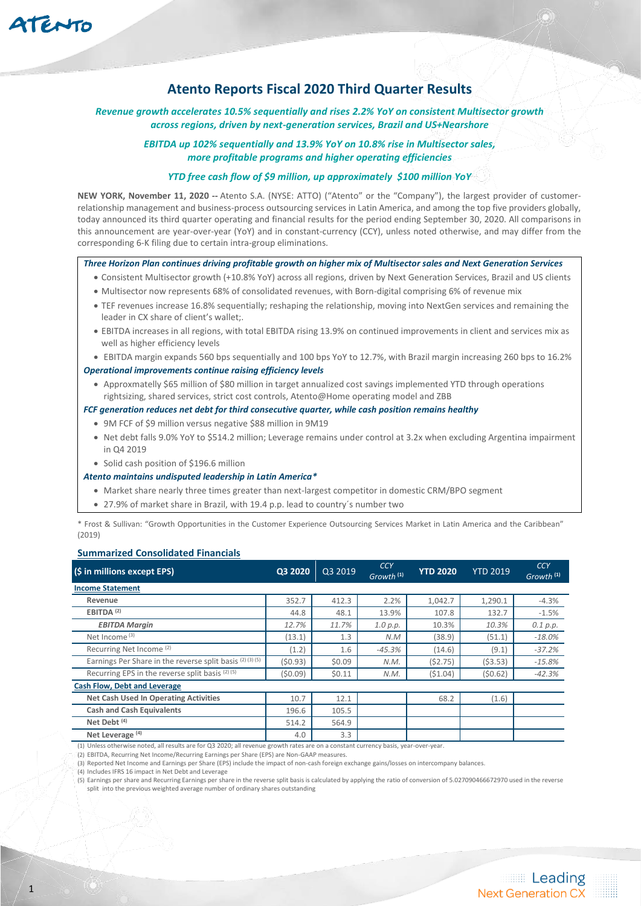## **Atento Reports Fiscal 2020 Third Quarter Results**

### *Revenue growth accelerates 10.5% sequentially and rises 2.2% YoY on consistent Multisector growth across regions, driven by next-generation services, Brazil and US+Nearshore*

*EBITDA up 102% sequentially and 13.9% YoY on 10.8% rise in Multisector sales, more profitable programs and higher operating efficiencies*

#### *YTD free cash flow of \$9 million, up approximately \$100 million YoY*

**NEW YORK, November 11, 2020 --** Atento S.A. (NYSE: ATTO) ("Atento" or the "Company"), the largest provider of customerrelationship management and business-process outsourcing services in Latin America, and among the top five providers globally, today announced its third quarter operating and financial results for the period ending September 30, 2020. All comparisons in this announcement are year-over-year (YoY) and in constant-currency (CCY), unless noted otherwise, and may differ from the corresponding 6-K filing due to certain intra-group eliminations.

#### *Three Horizon Plan continues driving profitable growth on higher mix of Multisector sales and Next Generation Services*

- Consistent Multisector growth (+10.8% YoY) across all regions, driven by Next Generation Services, Brazil and US clients
- Multisector now represents 68% of consolidated revenues, with Born-digital comprising 6% of revenue mix
- TEF revenues increase 16.8% sequentially; reshaping the relationship, moving into NextGen services and remaining the leader in CX share of client's wallet;.
- EBITDA increases in all regions, with total EBITDA rising 13.9% on continued improvements in client and services mix as well as higher efficiency levels
- EBITDA margin expands 560 bps sequentially and 100 bps YoY to 12.7%, with Brazil margin increasing 260 bps to 16.2%

#### *Operational improvements continue raising efficiency levels*

- Approxmatelly \$65 million of \$80 million in target annualized cost savings implemented YTD through operations rightsizing, shared services, strict cost controls, Atento@Home operating model and ZBB
- *FCF generation reduces net debt for third consecutive quarter, while cash position remains healthy* 
	- 9M FCF of \$9 million versus negative \$88 million in 9M19
	- Net debt falls 9.0% YoY to \$514.2 million; Leverage remains under control at 3.2x when excluding Argentina impairment in Q4 2019
	- Solid cash position of \$196.6 million

#### *Atento maintains undisputed leadership in Latin America\**

- Market share nearly three times greater than next-largest competitor in domestic CRM/BPO segment
- 27.9% of market share in Brazil, with 19.4 p.p. lead to country´s number two

\* Frost & Sullivan: "Growth Opportunities in the Customer Experience Outsourcing Services Market in Latin America and the Caribbean"  $(2019)$ 

#### **Summarized Consolidated Financials**

| (\$ in millions except EPS)                               | Q3 2020 | Q3 2019 | <b>CCY</b><br>Growth <sup>(1)</sup> | <b>YTD 2020</b> | <b>YTD 2019</b> | <b>CCY</b><br>Growth <sup>(1)</sup> |
|-----------------------------------------------------------|---------|---------|-------------------------------------|-----------------|-----------------|-------------------------------------|
| <b>Income Statement</b>                                   |         |         |                                     |                 |                 |                                     |
| Revenue                                                   | 352.7   | 412.3   | 2.2%                                | 1,042.7         | 1,290.1         | $-4.3%$                             |
| EBITDA $(2)$                                              | 44.8    | 48.1    | 13.9%                               | 107.8           | 132.7           | $-1.5%$                             |
| <b>EBITDA Margin</b>                                      | 12.7%   | 11.7%   | 1.0 p.p.                            | 10.3%           | 10.3%           | 0.1 p.p.                            |
| Net Income $(3)$                                          | (13.1)  | 1.3     | N.M                                 | (38.9)          | (51.1)          | $-18.0\%$                           |
| Recurring Net Income <sup>(2)</sup>                       | (1.2)   | 1.6     | $-45.3%$                            | (14.6)          | (9.1)           | $-37.2%$                            |
| Earnings Per Share in the reverse split basis (2) (3) (5) | (50.93) | \$0.09  | N.M.                                | (52.75)         | (53.53)         | $-15.8%$                            |
| Recurring EPS in the reverse split basis (2) (5)          | (50.09) | \$0.11  | N.M.                                | (51.04)         | (50.62)         | $-42.3%$                            |
| <b>Cash Flow, Debt and Leverage</b>                       |         |         |                                     |                 |                 |                                     |
| <b>Net Cash Used In Operating Activities</b>              | 10.7    | 12.1    |                                     | 68.2            | (1.6)           |                                     |
| <b>Cash and Cash Equivalents</b>                          | 196.6   | 105.5   |                                     |                 |                 |                                     |
| Net Debt <sup>(4)</sup>                                   | 514.2   | 564.9   |                                     |                 |                 |                                     |
| Net Leverage <sup>(4)</sup>                               | 4.0     | 3.3     |                                     |                 |                 |                                     |

(1) Unless otherwise noted, all results are for Q3 2020; all revenue growth rates are on a constant currency basis, year-over-year.

(2) EBITDA, Recurring Net Income/Recurring Earnings per Share (EPS) are Non-GAAP measures.

(3) Reported Net Income and Earnings per Share (EPS) include the impact of non-cash foreign exchange gains/losses on intercompany balances.

(4) Includes IFRS 16 impact in Net Debt and Leverage

(5) Earnings per share and Recurring Earnings per share in the reverse split basis is calculated by applying the ratio of conversion of 5.027090466672970 used in the reverse split into the previous weighted average number of ordinary shares outstanding

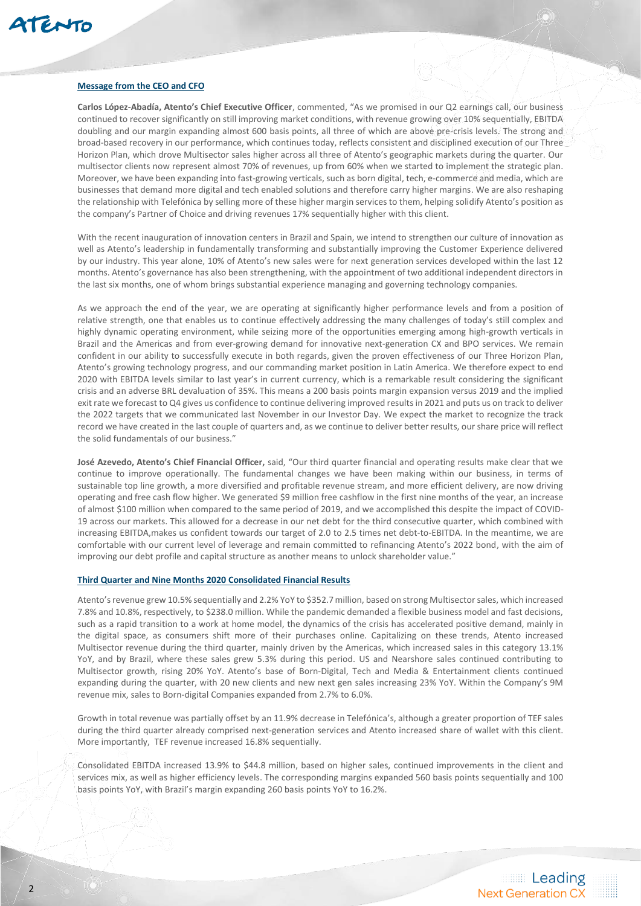#### **Message from the CEO and CFO**

**Carlos López-Abadía, Atento's Chief Executive Officer**, commented, "As we promised in our Q2 earnings call, our business continued to recover significantly on still improving market conditions, with revenue growing over 10% sequentially, EBITDA doubling and our margin expanding almost 600 basis points, all three of which are above pre-crisis levels. The strong and broad-based recovery in our performance, which continues today, reflects consistent and disciplined execution of our Three Horizon Plan, which drove Multisector sales higher across all three of Atento's geographic markets during the quarter. Our multisector clients now represent almost 70% of revenues, up from 60% when we started to implement the strategic plan. Moreover, we have been expanding into fast-growing verticals, such as born digital, tech, e-commerce and media, which are businesses that demand more digital and tech enabled solutions and therefore carry higher margins. We are also reshaping the relationship with Telefónica by selling more of these higher margin services to them, helping solidify Atento's position as the company's Partner of Choice and driving revenues 17% sequentially higher with this client.

With the recent inauguration of innovation centers in Brazil and Spain, we intend to strengthen our culture of innovation as well as Atento's leadership in fundamentally transforming and substantially improving the Customer Experience delivered by our industry. This year alone, 10% of Atento's new sales were for next generation services developed within the last 12 months. Atento's governance has also been strengthening, with the appointment of two additional independent directors in the last six months, one of whom brings substantial experience managing and governing technology companies.

As we approach the end of the year, we are operating at significantly higher performance levels and from a position of relative strength, one that enables us to continue effectively addressing the many challenges of today's still complex and highly dynamic operating environment, while seizing more of the opportunities emerging among high-growth verticals in Brazil and the Americas and from ever-growing demand for innovative next-generation CX and BPO services. We remain confident in our ability to successfully execute in both regards, given the proven effectiveness of our Three Horizon Plan, Atento's growing technology progress, and our commanding market position in Latin America. We therefore expect to end 2020 with EBITDA levels similar to last year's in current currency, which is a remarkable result considering the significant crisis and an adverse BRL devaluation of 35%. This means a 200 basis points margin expansion versus 2019 and the implied exit rate we forecast to Q4 gives us confidence to continue delivering improved results in 2021 and puts us on track to deliver the 2022 targets that we communicated last November in our Investor Day. We expect the market to recognize the track record we have created in the last couple of quarters and, as we continue to deliver better results, our share price will reflect the solid fundamentals of our business."

**José Azevedo, Atento's Chief Financial Officer,** said, "Our third quarter financial and operating results make clear that we continue to improve operationally. The fundamental changes we have been making within our business, in terms of sustainable top line growth, a more diversified and profitable revenue stream, and more efficient delivery, are now driving operating and free cash flow higher. We generated \$9 million free cashflow in the first nine months of the year, an increase of almost \$100 million when compared to the same period of 2019, and we accomplished this despite the impact of COVID-19 across our markets. This allowed for a decrease in our net debt for the third consecutive quarter, which combined with increasing EBITDA,makes us confident towards our target of 2.0 to 2.5 times net debt-to-EBITDA. In the meantime, we are comfortable with our current level of leverage and remain committed to refinancing Atento's 2022 bond, with the aim of improving our debt profile and capital structure as another means to unlock shareholder value."

#### **Third Quarter and Nine Months 2020 Consolidated Financial Results**

Atento's revenue grew 10.5% sequentially and 2.2% YoY to \$352.7 million, based on strong Multisector sales, which increased 7.8% and 10.8%, respectively, to \$238.0 million. While the pandemic demanded a flexible business model and fast decisions, such as a rapid transition to a work at home model, the dynamics of the crisis has accelerated positive demand, mainly in the digital space, as consumers shift more of their purchases online. Capitalizing on these trends, Atento increased Multisector revenue during the third quarter, mainly driven by the Americas, which increased sales in this category 13.1% YoY, and by Brazil, where these sales grew 5.3% during this period. US and Nearshore sales continued contributing to Multisector growth, rising 20% YoY. Atento's base of Born-Digital, Tech and Media & Entertainment clients continued expanding during the quarter, with 20 new clients and new next gen sales increasing 23% YoY. Within the Company's 9M revenue mix, sales to Born-digital Companies expanded from 2.7% to 6.0%.

Growth in total revenue was partially offset by an 11.9% decrease in Telefónica's, although a greater proportion of TEF sales during the third quarter already comprised next-generation services and Atento increased share of wallet with this client. More importantly, TEF revenue increased 16.8% sequentially.

Consolidated EBITDA increased 13.9% to \$44.8 million, based on higher sales, continued improvements in the client and services mix, as well as higher efficiency levels. The corresponding margins expanded 560 basis points sequentially and 100 basis points YoY, with Brazil's margin expanding 260 basis points YoY to 16.2%.

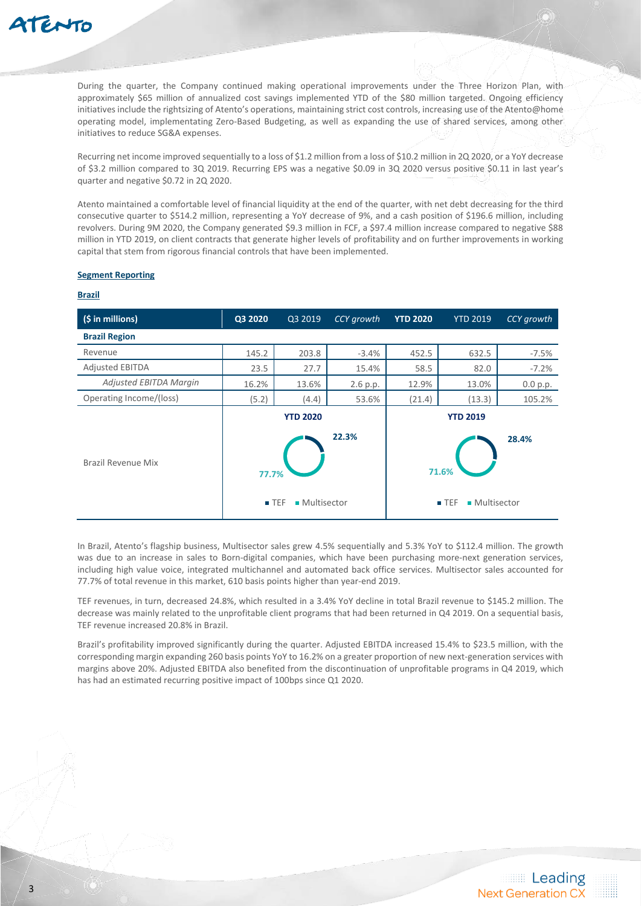During the quarter, the Company continued making operational improvements under the Three Horizon Plan, with approximately \$65 million of annualized cost savings implemented YTD of the \$80 million targeted. Ongoing efficiency initiatives include the rightsizing of Atento's operations, maintaining strict cost controls, increasing use of the Atento@home operating model, implementating Zero-Based Budgeting, as well as expanding the use of shared services, among other initiatives to reduce SG&A expenses.

Recurring net income improved sequentially to a loss of \$1.2 million from a loss of \$10.2 million in 2Q 2020, or a YoY decrease of \$3.2 million compared to 3Q 2019. Recurring EPS was a negative \$0.09 in 3Q 2020 versus positive \$0.11 in last year's quarter and negative \$0.72 in 2Q 2020.

Atento maintained a comfortable level of financial liquidity at the end of the quarter, with net debt decreasing for the third consecutive quarter to \$514.2 million, representing a YoY decrease of 9%, and a cash position of \$196.6 million, including revolvers. During 9M 2020, the Company generated \$9.3 million in FCF, a \$97.4 million increase compared to negative \$88 million in YTD 2019, on client contracts that generate higher levels of profitability and on further improvements in working capital that stem from rigorous financial controls that have been implemented.

### **Segment Reporting**

#### **Brazil**

| (\$ in millions)        | Q3 2020 | Q3 2019                                     | CCY growth | <b>YTD 2020</b> | <b>YTD 2019</b>                                        | CCY growth |
|-------------------------|---------|---------------------------------------------|------------|-----------------|--------------------------------------------------------|------------|
| <b>Brazil Region</b>    |         |                                             |            |                 |                                                        |            |
| Revenue                 | 145.2   | 203.8                                       | $-3.4%$    | 452.5           | 632.5                                                  | $-7.5%$    |
| Adjusted EBITDA         | 23.5    | 27.7                                        | 15.4%      | 58.5            | 82.0                                                   | $-7.2%$    |
| Adjusted EBITDA Margin  | 16.2%   | 13.6%                                       | 2.6 p.p.   | 12.9%           | 13.0%                                                  | 0.0 p.p.   |
| Operating Income/(loss) | (5.2)   | (4.4)                                       | 53.6%      | (21.4)          | (13.3)                                                 | 105.2%     |
| Brazil Revenue Mix      | 77.7%   | <b>YTD 2020</b><br>• Multisector<br>$-$ TEF | 22.3%      | 71.6%           | <b>YTD 2019</b><br>• Multisector<br>$\blacksquare$ TEF | 28.4%      |

In Brazil, Atento's flagship business, Multisector sales grew 4.5% sequentially and 5.3% YoY to \$112.4 million. The growth was due to an increase in sales to Born-digital companies, which have been purchasing more-next generation services, including high value voice, integrated multichannel and automated back office services. Multisector sales accounted for 77.7% of total revenue in this market, 610 basis points higher than year-end 2019.

TEF revenues, in turn, decreased 24.8%, which resulted in a 3.4% YoY decline in total Brazil revenue to \$145.2 million. The decrease was mainly related to the unprofitable client programs that had been returned in Q4 2019. On a sequential basis, TEF revenue increased 20.8% in Brazil.

Brazil's profitability improved significantly during the quarter. Adjusted EBITDA increased 15.4% to \$23.5 million, with the corresponding margin expanding 260 basis points YoY to 16.2% on a greater proportion of new next-generation services with margins above 20%. Adjusted EBITDA also benefited from the discontinuation of unprofitable programs in Q4 2019, which has had an estimated recurring positive impact of 100bps since Q1 2020.

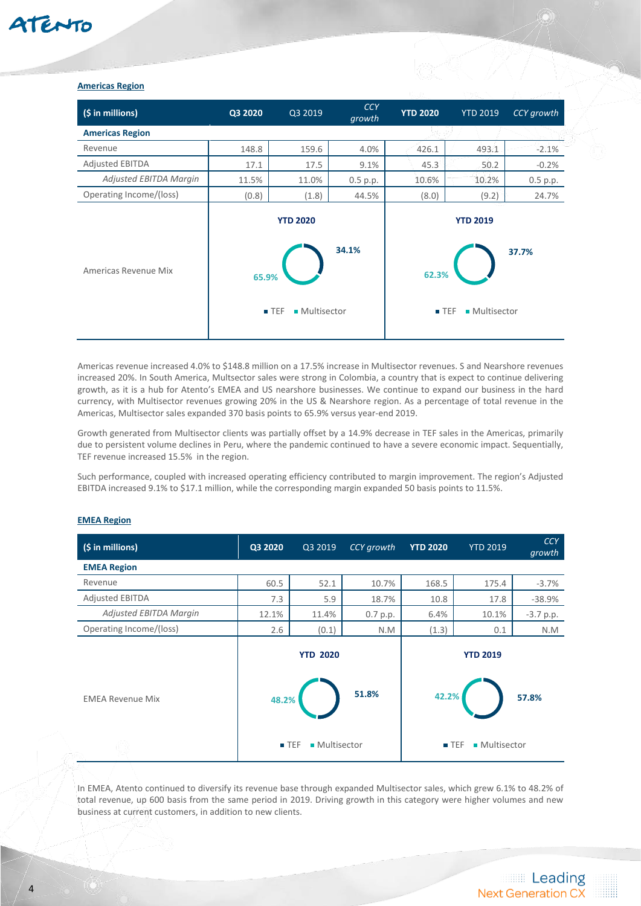#### **Americas Region**

| (\$ in millions)        | Q3 2020                                                                  | Q3 2019 | <b>CCY</b><br>growth | <b>YTD 2020</b> | <b>YTD 2019</b>                                        | CCY growth |
|-------------------------|--------------------------------------------------------------------------|---------|----------------------|-----------------|--------------------------------------------------------|------------|
| <b>Americas Region</b>  |                                                                          |         |                      |                 |                                                        |            |
| Revenue                 | 148.8                                                                    | 159.6   | 4.0%                 | 426.1           | 493.1                                                  | $-2.1%$    |
| <b>Adjusted EBITDA</b>  | 17.1                                                                     | 17.5    | 9.1%                 | 45.3            | 50.2                                                   | $-0.2%$    |
| Adjusted EBITDA Margin  | 11.5%                                                                    | 11.0%   | 0.5 p.p.             | 10.6%           | 10.2%                                                  | $0.5$ p.p. |
| Operating Income/(loss) | (0.8)                                                                    | (1.8)   | 44.5%                | (8.0)           | (9.2)                                                  | 24.7%      |
| Americas Revenue Mix    | <b>YTD 2020</b><br>34.1%<br>65.9%<br>• Multisector<br>$\blacksquare$ TEF |         |                      | 62.3%           | <b>YTD 2019</b><br>■ Multisector<br>$\blacksquare$ TEF | 37.7%      |

Americas revenue increased 4.0% to \$148.8 million on a 17.5% increase in Multisector revenues. S and Nearshore revenues increased 20%. In South America, Multsector sales were strong in Colombia, a country that is expect to continue delivering growth, as it is a hub for Atento's EMEA and US nearshore businesses. We continue to expand our business in the hard currency, with Multisector revenues growing 20% in the US & Nearshore region. As a percentage of total revenue in the Americas, Multisector sales expanded 370 basis points to 65.9% versus year-end 2019.

Growth generated from Multisector clients was partially offset by a 14.9% decrease in TEF sales in the Americas, primarily due to persistent volume declines in Peru, where the pandemic continued to have a severe economic impact. Sequentially, TEF revenue increased 15.5% in the region.

Such performance, coupled with increased operating efficiency contributed to margin improvement. The region's Adjusted EBITDA increased 9.1% to \$17.1 million, while the corresponding margin expanded 50 basis points to 11.5%.

#### **EMEA Region**

| (\$ in millions)        | Q3 2020 | Q3 2019                                                | CCY growth | <b>YTD 2020</b> | <b>YTD 2019</b>                                        | <b>CCY</b><br>growth |
|-------------------------|---------|--------------------------------------------------------|------------|-----------------|--------------------------------------------------------|----------------------|
| <b>EMEA Region</b>      |         |                                                        |            |                 |                                                        |                      |
| Revenue                 | 60.5    | 52.1                                                   | 10.7%      | 168.5           | 175.4                                                  | $-3.7%$              |
| <b>Adjusted EBITDA</b>  | 7.3     | 5.9                                                    | 18.7%      | 10.8            | 17.8                                                   | $-38.9%$             |
| Adjusted EBITDA Margin  | 12.1%   | 11.4%                                                  | 0.7 p.p.   | 6.4%            | 10.1%                                                  | $-3.7 p.p.$          |
| Operating Income/(loss) | 2.6     | (0.1)                                                  | N.M        | (1.3)           | 0.1                                                    | N.M                  |
| <b>EMEA Revenue Mix</b> | 48.2%   | <b>YTD 2020</b><br>■ Multisector<br>$\blacksquare$ TEF | 51.8%      | 42.2%           | <b>YTD 2019</b><br>■ Multisector<br>$\blacksquare$ TEF | 57.8%                |

In EMEA, Atento continued to diversify its revenue base through expanded Multisector sales, which grew 6.1% to 48.2% of total revenue, up 600 basis from the same period in 2019. Driving growth in this category were higher volumes and new business at current customers, in addition to new clients.

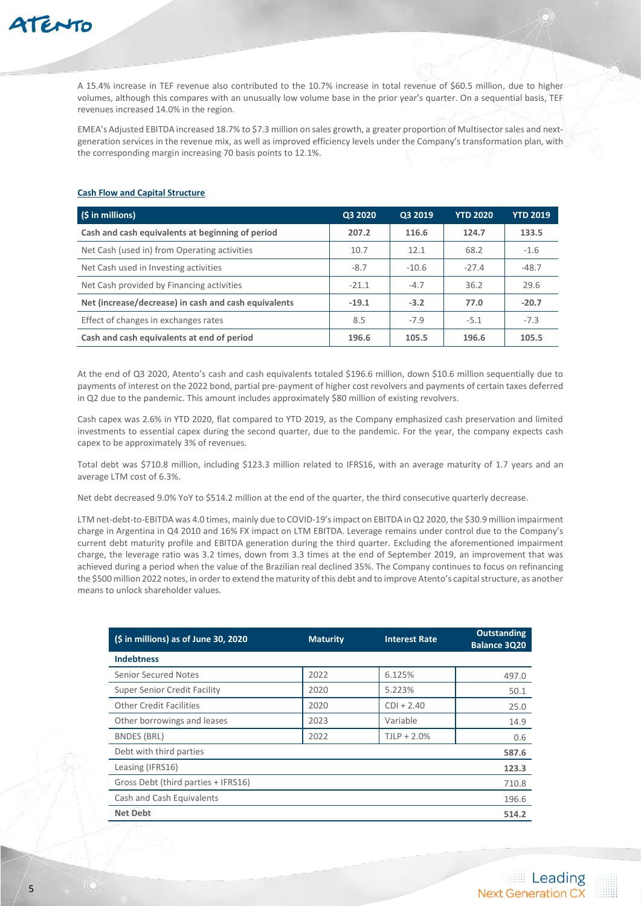A 15.4% increase in TEF revenue also contributed to the 10.7% increase in total revenue of \$60.5 million, due to higher volumes, although this compares with an unusually low volume base in the prior year's quarter. On a sequential basis, TEF revenues increased 14.0% in the region.

EMEA's Adjusted EBITDA increased 18.7% to \$7.3 million on sales growth, a greater proportion of Multisector sales and nextgeneration services in the revenue mix, as well as improved efficiency levels under the Company's transformation plan, with the corresponding margin increasing 70 basis points to 12.1%.

### **Cash Flow and Capital Structure**

| (\$ in millions)                                     | Q3 2020 | Q3 2019 | <b>YTD 2020</b> | <b>YTD 2019</b> |
|------------------------------------------------------|---------|---------|-----------------|-----------------|
| Cash and cash equivalents at beginning of period     | 207.2   | 116.6   | 124.7           | 133.5           |
| Net Cash (used in) from Operating activities         | 10.7    | 12.1    | 68.2            | $-1.6$          |
| Net Cash used in Investing activities                | $-8.7$  | $-10.6$ | $-27.4$         | $-48.7$         |
| Net Cash provided by Financing activities            | $-21.1$ | $-4.7$  | 36.2            | 29.6            |
| Net (increase/decrease) in cash and cash equivalents | $-19.1$ | $-3.2$  | 77.0            | $-20.7$         |
| Effect of changes in exchanges rates                 | 8.5     | $-7.9$  | $-5.1$          | $-7.3$          |
| Cash and cash equivalents at end of period           | 196.6   | 105.5   | 196.6           | 105.5           |

At the end of Q3 2020, Atento's cash and cash equivalents totaled \$196.6 million, down \$10.6 million sequentially due to payments of interest on the 2022 bond, partial pre-payment of higher cost revolvers and payments of certain taxes deferred in Q2 due to the pandemic. This amount includes approximately \$80 million of existing revolvers.

Cash capex was 2.6% in YTD 2020, flat compared to YTD 2019, as the Company emphasized cash preservation and limited investments to essential capex during the second quarter, due to the pandemic. For the year, the company expects cash capex to be approximately 3% of revenues.

Total debt was \$710.8 million, including \$123.3 million related to IFRS16, with an average maturity of 1.7 years and an average LTM cost of 6.3%.

Net debt decreased 9.0% YoY to \$514.2 million at the end of the quarter, the third consecutive quarterly decrease.

LTM net-debt-to-EBITDA was 4.0 times, mainly due to COVID-19'simpact on EBITDA in Q2 2020, the \$30.9 million impairment charge in Argentina in Q4 2010 and 16% FX impact on LTM EBITDA. Leverage remains under control due to the Company's current debt maturity profile and EBITDA generation during the third quarter. Excluding the aforementioned impairment charge, the leverage ratio was 3.2 times, down from 3.3 times at the end of September 2019, an improvement that was achieved during a period when the value of the Brazilian real declined 35%. The Company continues to focus on refinancing the \$500 million 2022 notes, in order to extend the maturity of this debt and to improve Atento's capital structure, as another means to unlock shareholder values.

| (\$ in millions) as of June 30, 2020 | <b>Maturity</b> | <b>Interest Rate</b> | <b>Outstanding</b><br><b>Balance 3Q20</b> |
|--------------------------------------|-----------------|----------------------|-------------------------------------------|
| <b>Indebtness</b>                    |                 |                      |                                           |
| <b>Senior Secured Notes</b>          | 2022            | 6.125%               | 497.0                                     |
| <b>Super Senior Credit Facility</b>  | 2020            | 5.223%               | 50.1                                      |
| <b>Other Credit Facilities</b>       | 2020            | $CDI + 2.40$         | 25.0                                      |
| Other borrowings and leases          | 2023            | Variable             | 14.9                                      |
| <b>BNDES (BRL)</b>                   | 2022            | $TJLP + 2.0\%$       | 0.6                                       |
| Debt with third parties              |                 |                      | 587.6                                     |
| Leasing (IFRS16)                     |                 |                      | 123.3                                     |
| Gross Debt (third parties + IFRS16)  |                 |                      | 710.8                                     |
| Cash and Cash Equivalents            |                 |                      | 196.6                                     |
| <b>Net Debt</b>                      |                 |                      | 514.2                                     |

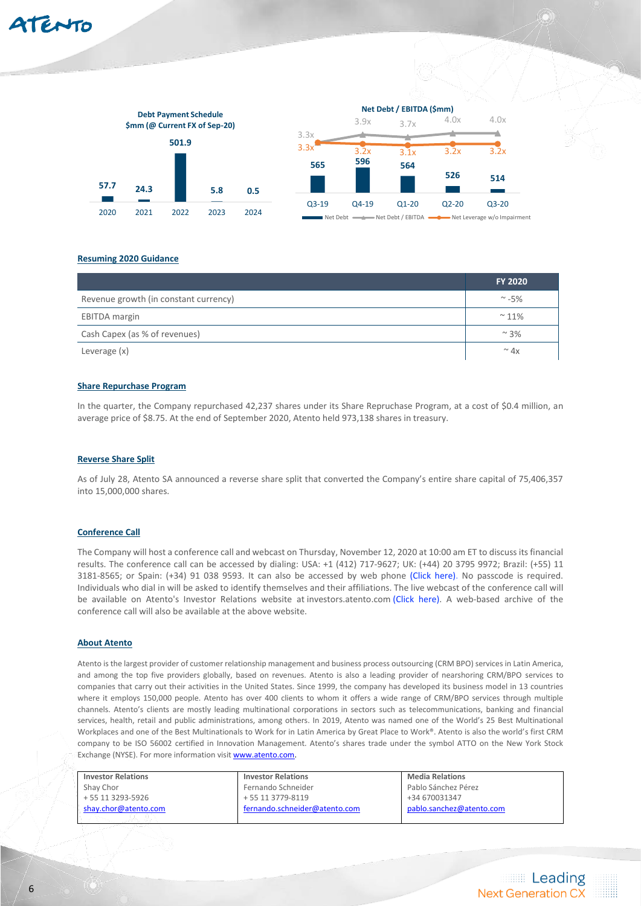

#### **Resuming 2020 Guidance**

|                                       | <b>FY 2020</b> |
|---------------------------------------|----------------|
| Revenue growth (in constant currency) | $\sim$ -5%     |
| <b>EBITDA</b> margin                  | $~^{\sim}$ 11% |
| Cash Capex (as % of revenues)         | $\sim$ 3%      |
| Leverage (x)                          | $\sim$ 4x      |

#### **Share Repurchase Program**

In the quarter, the Company repurchased 42,237 shares under its Share Repruchase Program, at a cost of \$0.4 million, an average price of \$8.75. At the end of September 2020, Atento held 973,138 shares in treasury.

#### **Reverse Share Split**

As of July 28, Atento SA announced a reverse share split that converted the Company's entire share capital of 75,406,357 into 15,000,000 shares.

#### **Conference Call**

The Company will host a conference call and webcast on Thursday, November 12, 2020 at 10:00 am ET to discuss its financial results. The conference call can be accessed by dialing: USA: +1 (412) 717-9627; UK: (+44) 20 3795 9972; Brazil: (+55) 11 3181-8565; or Spain: (+34) 91 038 9593. It can also be accessed by web phone [\(Click here\)](https://hdbr.choruscall.com/?passcode=9656611&h=true&info=company&r=true). No passcode is required. Individuals who dial in will be asked to identify themselves and their affiliations. The live webcast of the conference call will be available on Atento's Investor Relations website at [investors.atento.com](http://investors.atento.com/) [\(Click here\)](https://78449.choruscall.com/dataconf/productusers/atento/mediaframe/41502/indexl.html). A web-based archive of the conference call will also be available at the above website.

#### **About Atento**

Atento is the largest provider of customer relationship management and business process outsourcing (CRM BPO) services in Latin America, and among the top five providers globally, based on revenues. Atento is also a leading provider of nearshoring CRM/BPO services to companies that carry out their activities in the United States. Since 1999, the company has developed its business model in 13 countries where it employs 150,000 people. Atento has over 400 clients to whom it offers a wide range of CRM/BPO services through multiple channels. Atento's clients are mostly leading multinational corporations in sectors such as telecommunications, banking and financial services, health, retail and public administrations, among others. In 2019, Atento was named one of the World's 25 Best Multinational Workplaces and one of the Best Multinationals to Work for in Latin America by Great Place to Work®. Atento is also the world's first CRM company to be ISO 56002 certified in Innovation Management. Atento's shares trade under the symbol ATTO on the New York Stock Exchange (NYSE). For more information visit [www.atento.com.](http://www.atento.com/)

| <b>Investor Relations</b> | <b>Investor Relations</b>     | <b>Media Relations</b>   |
|---------------------------|-------------------------------|--------------------------|
| Shay Chor                 | Fernando Schneider            | Pablo Sánchez Pérez      |
| + 55 11 3293-5926         | + 55 11 3779-8119             | +34 670031347            |
| shay.chor@atento.com      | fernando.schneider@atento.com | pablo.sanchez@atento.com |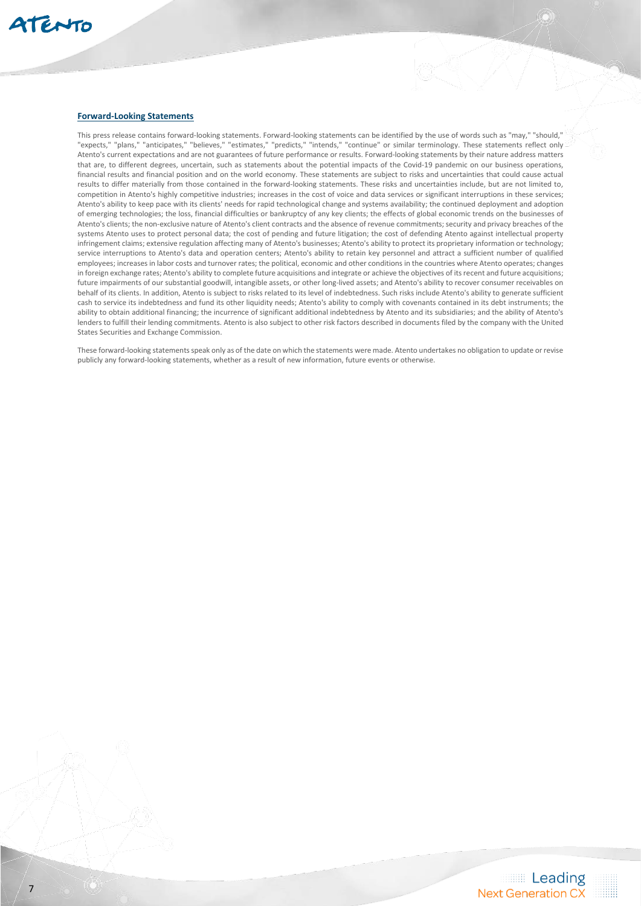

#### **Forward-Looking Statements**

This press release contains forward-looking statements. Forward-looking statements can be identified by the use of words such as "may," "should," "expects," "plans," "anticipates," "believes," "estimates," "predicts," "intends," "continue" or similar terminology. These statements reflect only Atento's current expectations and are not guarantees of future performance or results. Forward-looking statements by their nature address matters that are, to different degrees, uncertain, such as statements about the potential impacts of the Covid-19 pandemic on our business operations, financial results and financial position and on the world economy. These statements are subject to risks and uncertainties that could cause actual results to differ materially from those contained in the forward-looking statements. These risks and uncertainties include, but are not limited to, competition in Atento's highly competitive industries; increases in the cost of voice and data services or significant interruptions in these services; Atento's ability to keep pace with its clients' needs for rapid technological change and systems availability; the continued deployment and adoption of emerging technologies; the loss, financial difficulties or bankruptcy of any key clients; the effects of global economic trends on the businesses of Atento's clients; the non-exclusive nature of Atento's client contracts and the absence of revenue commitments; security and privacy breaches of the systems Atento uses to protect personal data; the cost of pending and future litigation; the cost of defending Atento against intellectual property infringement claims; extensive regulation affecting many of Atento's businesses; Atento's ability to protect its proprietary information or technology; service interruptions to Atento's data and operation centers; Atento's ability to retain key personnel and attract a sufficient number of qualified employees; increases in labor costs and turnover rates; the political, economic and other conditions in the countries where Atento operates; changes in foreign exchange rates; Atento's ability to complete future acquisitions and integrate or achieve the objectives of its recent and future acquisitions; future impairments of our substantial goodwill, intangible assets, or other long-lived assets; and Atento's ability to recover consumer receivables on behalf of its clients. In addition, Atento is subject to risks related to its level of indebtedness. Such risks include Atento's ability to generate sufficient cash to service its indebtedness and fund its other liquidity needs; Atento's ability to comply with covenants contained in its debt instruments; the ability to obtain additional financing; the incurrence of significant additional indebtedness by Atento and its subsidiaries; and the ability of Atento's lenders to fulfill their lending commitments. Atento is also subject to other risk factors described in documents filed by the company with the United States Securities and Exchange Commission.

These forward-looking statements speak only as of the date on which the statements were made. Atento undertakes no obligation to update or revise publicly any forward-looking statements, whether as a result of new information, future events or otherwise.

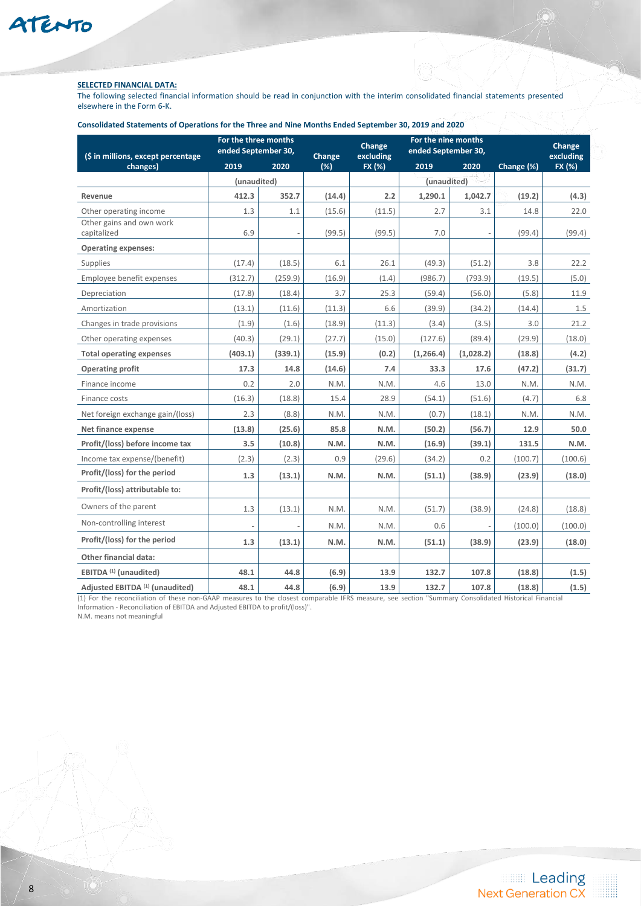## **SELECTED FINANCIAL DATA:**

The following selected financial information should be read in conjunction with the interim consolidated financial statements presented elsewhere in the Form 6-K.

**Consolidated Statements of Operations for the Three and Nine Months Ended September 30, 2019 and 2020**

| (\$ in millions, except percentage         | For the three months<br>ended September 30, |         | Change | Change<br>excluding | For the nine months<br>ended September 30, |           |            | Change<br>excluding |
|--------------------------------------------|---------------------------------------------|---------|--------|---------------------|--------------------------------------------|-----------|------------|---------------------|
| changes)                                   | 2019                                        | 2020    | (%)    | FX (%)              | 2019                                       | 2020      | Change (%) | FX (%)              |
|                                            | (unaudited)                                 |         |        |                     | (unaudited)                                |           |            |                     |
| Revenue                                    | 412.3                                       | 352.7   | (14.4) | 2.2                 | 1,290.1                                    | 1,042.7   | (19.2)     | (4.3)               |
| Other operating income                     | 1.3                                         | 1.1     | (15.6) | (11.5)              | 2.7                                        | 3.1       | 14.8       | 22.0                |
| Other gains and own work<br>capitalized    | 6.9                                         |         | (99.5) | (99.5)              | 7.0                                        |           | (99.4)     | (99.4)              |
| <b>Operating expenses:</b>                 |                                             |         |        |                     |                                            |           |            |                     |
| Supplies                                   | (17.4)                                      | (18.5)  | 6.1    | 26.1                | (49.3)                                     | (51.2)    | 3.8        | 22.2                |
| Employee benefit expenses                  | (312.7)                                     | (259.9) | (16.9) | (1.4)               | (986.7)                                    | (793.9)   | (19.5)     | (5.0)               |
| Depreciation                               | (17.8)                                      | (18.4)  | 3.7    | 25.3                | (59.4)                                     | (56.0)    | (5.8)      | 11.9                |
| Amortization                               | (13.1)                                      | (11.6)  | (11.3) | 6.6                 | (39.9)                                     | (34.2)    | (14.4)     | 1.5                 |
| Changes in trade provisions                | (1.9)                                       | (1.6)   | (18.9) | (11.3)              | (3.4)                                      | (3.5)     | 3.0        | 21.2                |
| Other operating expenses                   | (40.3)                                      | (29.1)  | (27.7) | (15.0)              | (127.6)                                    | (89.4)    | (29.9)     | (18.0)              |
| <b>Total operating expenses</b>            | (403.1)                                     | (339.1) | (15.9) | (0.2)               | (1, 266.4)                                 | (1,028.2) | (18.8)     | (4.2)               |
| <b>Operating profit</b>                    | 17.3                                        | 14.8    | (14.6) | 7.4                 | 33.3                                       | 17.6      | (47.2)     | (31.7)              |
| Finance income                             | 0.2                                         | 2.0     | N.M.   | N.M.                | 4.6                                        | 13.0      | N.M.       | N.M.                |
| Finance costs                              | (16.3)                                      | (18.8)  | 15.4   | 28.9                | (54.1)                                     | (51.6)    | (4.7)      | 6.8                 |
| Net foreign exchange gain/(loss)           | 2.3                                         | (8.8)   | N.M.   | N.M.                | (0.7)                                      | (18.1)    | N.M.       | N.M.                |
| Net finance expense                        | (13.8)                                      | (25.6)  | 85.8   | N.M.                | (50.2)                                     | (56.7)    | 12.9       | 50.0                |
| Profit/(loss) before income tax            | 3.5                                         | (10.8)  | N.M.   | N.M.                | (16.9)                                     | (39.1)    | 131.5      | N.M.                |
| Income tax expense/(benefit)               | (2.3)                                       | (2.3)   | 0.9    | (29.6)              | (34.2)                                     | 0.2       | (100.7)    | (100.6)             |
| Profit/(loss) for the period               | 1.3                                         | (13.1)  | N.M.   | N.M.                | (51.1)                                     | (38.9)    | (23.9)     | (18.0)              |
| Profit/(loss) attributable to:             |                                             |         |        |                     |                                            |           |            |                     |
| Owners of the parent                       | 1.3                                         | (13.1)  | N.M.   | N.M.                | (51.7)                                     | (38.9)    | (24.8)     | (18.8)              |
| Non-controlling interest                   |                                             |         | N.M.   | N.M.                | 0.6                                        |           | (100.0)    | (100.0)             |
| Profit/(loss) for the period               | 1.3                                         | (13.1)  | N.M.   | N.M.                | (51.1)                                     | (38.9)    | (23.9)     | (18.0)              |
| <b>Other financial data:</b>               |                                             |         |        |                     |                                            |           |            |                     |
| EBITDA <sup>(1)</sup> (unaudited)          | 48.1                                        | 44.8    | (6.9)  | 13.9                | 132.7                                      | 107.8     | (18.8)     | (1.5)               |
| Adjusted EBITDA <sup>(1)</sup> (unaudited) | 48.1                                        | 44.8    | (6.9)  | 13.9                | 132.7                                      | 107.8     | (18.8)     | (1.5)               |

(1) For the reconciliation of these non-GAAP measures to the closest comparable IFRS measure, see section "Summary Consolidated Historical Financial Information - Reconciliation of EBITDA and Adjusted EBITDA to profit/(loss)".

N.M. means not meaningful

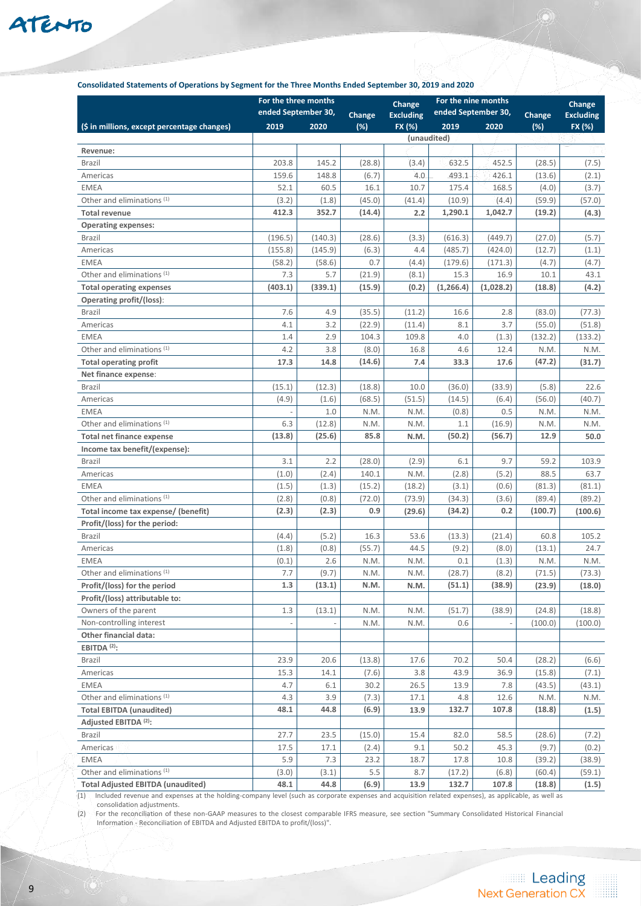|                                             | For the three months |         |        | Change           | For the nine months |           |         | Change           |
|---------------------------------------------|----------------------|---------|--------|------------------|---------------------|-----------|---------|------------------|
|                                             | ended September 30,  |         | Change | <b>Excluding</b> | ended September 30, |           | Change  | <b>Excluding</b> |
| (\$ in millions, except percentage changes) | 2019                 | 2020    | (%)    | FX (%)           | 2019                | 2020      | (%)     | FX (%)           |
|                                             |                      |         |        |                  | (unaudited)         |           |         |                  |
| Revenue:                                    |                      |         |        |                  |                     |           |         |                  |
| Brazil                                      | 203.8                | 145.2   | (28.8) | (3.4)            | 632.5               | 452.5     | (28.5)  | (7.5)            |
| Americas                                    | 159.6                | 148.8   | (6.7)  | 4.0              | 493.1               | 426.1     | (13.6)  | (2.1)            |
| <b>EMEA</b>                                 | 52.1                 | 60.5    | 16.1   | 10.7             | 175.4               | 168.5     | (4.0)   | (3.7)            |
| Other and eliminations <sup>(1)</sup>       | (3.2)                | (1.8)   | (45.0) | (41.4)           | (10.9)              | (4.4)     | (59.9)  | (57.0)           |
| <b>Total revenue</b>                        | 412.3                | 352.7   | (14.4) | 2.2              | 1,290.1             | 1,042.7   | (19.2)  | (4.3)            |
| <b>Operating expenses:</b>                  |                      |         |        |                  |                     |           |         |                  |
| <b>Brazil</b>                               | (196.5)              | (140.3) | (28.6) | (3.3)            | (616.3)             | (449.7)   | (27.0)  | (5.7)            |
| Americas                                    | (155.8)              | (145.9) | (6.3)  | 4.4              | (485.7)             | (424.0)   | (12.7)  | (1.1)            |
| <b>EMEA</b>                                 | (58.2)               | (58.6)  | 0.7    | (4.4)            | (179.6)             | (171.3)   | (4.7)   | (4.7)            |
| Other and eliminations <sup>(1)</sup>       | 7.3                  | 5.7     | (21.9) | (8.1)            | 15.3                | 16.9      | 10.1    | 43.1             |
| <b>Total operating expenses</b>             | (403.1)              | (339.1) | (15.9) | (0.2)            | (1, 266.4)          | (1,028.2) | (18.8)  | (4.2)            |
| Operating profit/(loss):                    |                      |         |        |                  |                     |           |         |                  |
| <b>Brazil</b>                               | 7.6                  | 4.9     | (35.5) | (11.2)           | 16.6                | 2.8       | (83.0)  | (77.3)           |
| Americas                                    | 4.1                  | 3.2     | (22.9) | (11.4)           | 8.1                 | 3.7       | (55.0)  | (51.8)           |
| <b>EMEA</b>                                 | 1.4                  | 2.9     | 104.3  | 109.8            | 4.0                 | (1.3)     | (132.2) | (133.2)          |
| Other and eliminations <sup>(1)</sup>       | 4.2                  | 3.8     | (8.0)  | 16.8             | 4.6                 | 12.4      | N.M.    | N.M.             |
| <b>Total operating profit</b>               | 17.3                 | 14.8    | (14.6) | 7.4              | 33.3                | 17.6      | (47.2)  | (31.7)           |
| Net finance expense:                        |                      |         |        |                  |                     |           |         |                  |
| <b>Brazil</b>                               | (15.1)               | (12.3)  | (18.8) | 10.0             | (36.0)              | (33.9)    | (5.8)   | 22.6             |
| Americas                                    | (4.9)                | (1.6)   | (68.5) | (51.5)           | (14.5)              | (6.4)     | (56.0)  | (40.7)           |
| <b>EMEA</b>                                 |                      | 1.0     | N.M.   | N.M.             | (0.8)               | 0.5       | N.M.    | N.M.             |
| Other and eliminations (1)                  | 6.3                  | (12.8)  | N.M.   | N.M.             | 1.1                 | (16.9)    | N.M.    | N.M.             |
| <b>Total net finance expense</b>            | (13.8)               | (25.6)  | 85.8   | N.M.             | (50.2)              | (56.7)    | 12.9    | 50.0             |
| Income tax benefit/(expense):               |                      |         |        |                  |                     |           |         |                  |
| <b>Brazil</b>                               | 3.1                  | 2.2     | (28.0) | (2.9)            | 6.1                 | 9.7       | 59.2    | 103.9            |
| Americas                                    | (1.0)                | (2.4)   | 140.1  | N.M.             | (2.8)               | (5.2)     | 88.5    | 63.7             |
| <b>EMEA</b>                                 | (1.5)                | (1.3)   | (15.2) | (18.2)           | (3.1)               | (0.6)     | (81.3)  | (81.1)           |
| Other and eliminations <sup>(1)</sup>       | (2.8)                | (0.8)   | (72.0) | (73.9)           | (34.3)              | (3.6)     | (89.4)  | (89.2)           |
| Total income tax expense/ (benefit)         | (2.3)                | (2.3)   | 0.9    | (29.6)           | (34.2)              | 0.2       | (100.7) | (100.6)          |
| Profit/(loss) for the period:               |                      |         |        |                  |                     |           |         |                  |
| <b>Brazil</b>                               | (4.4)                | (5.2)   | 16.3   | 53.6             | (13.3)              | (21.4)    | 60.8    | 105.2            |
| Americas                                    | (1.8)                | (0.8)   | (55.7) | 44.5             | (9.2)               | (8.0)     | (13.1)  | 24.7             |
| <b>EMEA</b>                                 | (0.1)                | 2.6     | N.M.   | N.M.             | 0.1                 | (1.3)     | N.M.    | N.M.             |
| Other and eliminations (1)                  | 7.7                  | (9.7)   | N.M.   | N.M.             | (28.7)              | (8.2)     | (71.5)  | (73.3)           |
| Profit/(loss) for the period                | 1.3                  | (13.1)  | N.M.   | N.M.             | (51.1)              | (38.9)    | (23.9)  | (18.0)           |
| Profit/(loss) attributable to:              |                      |         |        |                  |                     |           |         |                  |
| Owners of the parent                        | 1.3                  | (13.1)  | N.M.   | N.M.             | (51.7)              | (38.9)    | (24.8)  | (18.8)           |
| Non-controlling interest                    |                      |         | N.M.   | N.M.             | 0.6                 |           | (100.0) | (100.0)          |
| Other financial data:                       |                      |         |        |                  |                     |           |         |                  |
| EBITDA <sup>(2)</sup> :                     |                      |         |        |                  |                     |           |         |                  |
| Brazil                                      | 23.9                 | 20.6    | (13.8) | 17.6             | 70.2                | 50.4      | (28.2)  | (6.6)            |
| Americas                                    | 15.3                 | 14.1    | (7.6)  | 3.8              | 43.9                | 36.9      | (15.8)  | (7.1)            |
| <b>EMEA</b>                                 | 4.7                  | 6.1     | 30.2   | 26.5             | 13.9                | 7.8       | (43.5)  | (43.1)           |
| Other and eliminations <sup>(1)</sup>       | 4.3                  | 3.9     | (7.3)  | 17.1             | 4.8                 | 12.6      | N.M.    | N.M.             |
| <b>Total EBITDA (unaudited)</b>             | 48.1                 | 44.8    | (6.9)  | 13.9             | 132.7               | 107.8     | (18.8)  |                  |
| Adjusted EBITDA <sup>(2)</sup> :            |                      |         |        |                  |                     |           |         | (1.5)            |
|                                             |                      |         |        |                  |                     |           |         |                  |
| Brazil                                      | 27.7                 | 23.5    | (15.0) | 15.4             | 82.0                | 58.5      | (28.6)  | (7.2)            |
| Americas                                    | 17.5                 | 17.1    | (2.4)  | 9.1              | 50.2                | 45.3      | (9.7)   | (0.2)            |
| EMEA                                        | 5.9                  | 7.3     | 23.2   | 18.7             | 17.8                | 10.8      | (39.2)  | (38.9)           |
| Other and eliminations <sup>(1)</sup>       | (3.0)                | (3.1)   | 5.5    | 8.7              | (17.2)              | (6.8)     | (60.4)  | (59.1)           |
| <b>Total Adjusted EBITDA (unaudited)</b>    | 48.1                 | 44.8    | (6.9)  | 13.9             | 132.7               | 107.8     | (18.8)  | (1.5)            |

#### **Consolidated Statements of Operations by Segment for the Three Months Ended September 30, 2019 and 2020**

(1) Included revenue and expenses at the holding-company level (such as corporate expenses and acquisition related expenses), as applicable, as well as consolidation adjustments.

(2) For the reconciliation of these non-GAAP measures to the closest comparable IFRS measure, see section "Summary Consolidated Historical Financial Information - Reconciliation of EBITDA and Adjusted EBITDA to profit/(loss)".

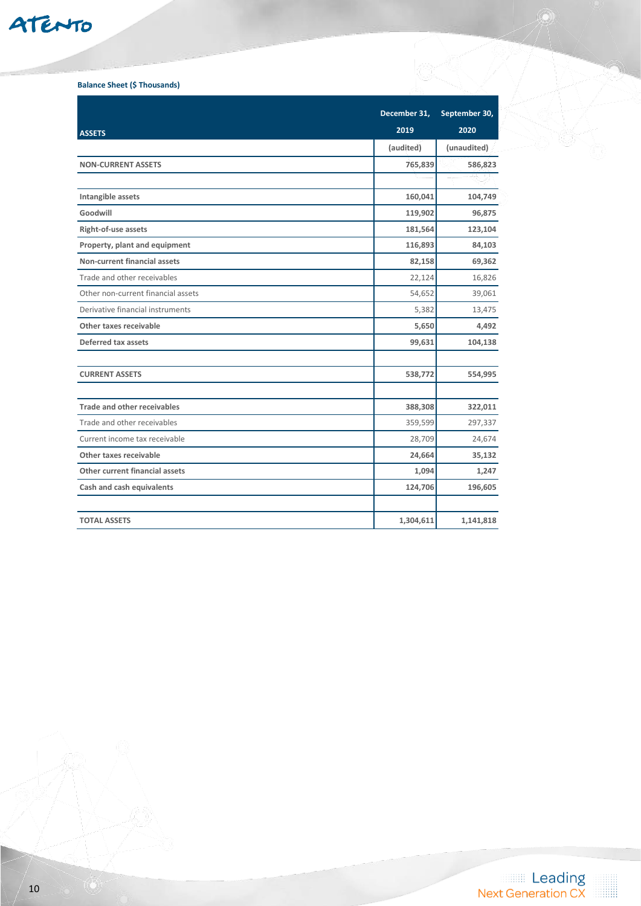### **Balance Sheet (\$ Thousands)**

|                                     | December 31, | September 30, |
|-------------------------------------|--------------|---------------|
| <b>ASSETS</b>                       | 2019         | 2020          |
|                                     | (audited)    | (unaudited)   |
| <b>NON-CURRENT ASSETS</b>           | 765,839      | 586,823       |
|                                     |              |               |
| Intangible assets                   | 160,041      | 104,749       |
| Goodwill                            | 119,902      | 96,875        |
| Right-of-use assets                 | 181,564      | 123,104       |
| Property, plant and equipment       | 116,893      | 84,103        |
| <b>Non-current financial assets</b> | 82,158       | 69,362        |
| Trade and other receivables         | 22,124       | 16,826        |
| Other non-current financial assets  | 54,652       | 39,061        |
| Derivative financial instruments    | 5,382        | 13,475        |
| Other taxes receivable              | 5,650        | 4,492         |
| Deferred tax assets                 | 99,631       | 104,138       |
|                                     |              |               |
| <b>CURRENT ASSETS</b>               | 538,772      | 554,995       |
|                                     |              |               |
| <b>Trade and other receivables</b>  | 388,308      | 322,011       |
| Trade and other receivables         | 359,599      | 297,337       |
| Current income tax receivable       | 28,709       | 24,674        |
| Other taxes receivable              | 24,664       | 35,132        |
| Other current financial assets      | 1,094        | 1,247         |
| Cash and cash equivalents           | 124,706      | 196,605       |
|                                     |              |               |
| <b>TOTAL ASSETS</b>                 | 1,304,611    | 1,141,818     |

 $\circledR$ 

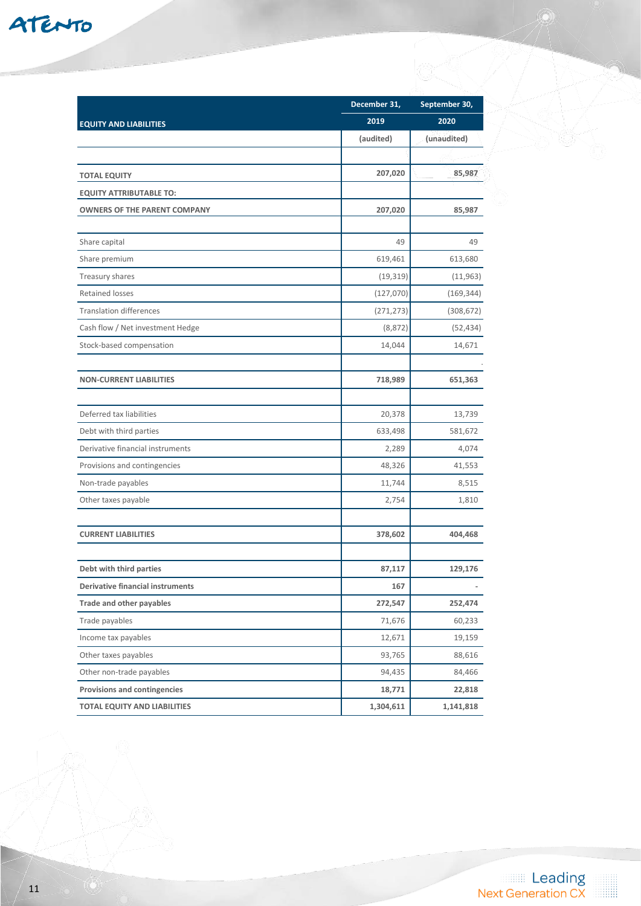|                                         | December 31, | September 30,            |
|-----------------------------------------|--------------|--------------------------|
| <b>EQUITY AND LIABILITIES</b>           | 2019         | 2020                     |
|                                         | (audited)    | (unaudited)              |
|                                         |              |                          |
| <b>TOTAL EQUITY</b>                     | 207,020      | 85,987                   |
| <b>EQUITY ATTRIBUTABLE TO:</b>          |              |                          |
| <b>OWNERS OF THE PARENT COMPANY</b>     | 207,020      | 85,987                   |
|                                         |              |                          |
| Share capital                           | 49           | 49                       |
| Share premium                           | 619,461      | 613,680                  |
| Treasury shares                         | (19, 319)    | (11,963)                 |
| <b>Retained losses</b>                  | (127,070)    | (169, 344)               |
| <b>Translation differences</b>          | (271, 273)   | (308, 672)               |
| Cash flow / Net investment Hedge        | (8, 872)     | (52, 434)                |
| Stock-based compensation                | 14,044       | 14,671                   |
|                                         |              |                          |
| <b>NON-CURRENT LIABILITIES</b>          | 718,989      | 651,363                  |
|                                         |              |                          |
| Deferred tax liabilities                | 20,378       | 13,739                   |
| Debt with third parties                 | 633,498      | 581,672                  |
| Derivative financial instruments        | 2,289        | 4,074                    |
| Provisions and contingencies            | 48,326       | 41,553                   |
| Non-trade payables                      | 11,744       | 8,515                    |
| Other taxes payable                     | 2,754        | 1,810                    |
|                                         |              |                          |
| <b>CURRENT LIABILITIES</b>              | 378,602      | 404,468                  |
|                                         |              |                          |
| Debt with third parties                 | 87,117       | 129,176                  |
| <b>Derivative financial instruments</b> | 167          | $\overline{\phantom{a}}$ |
| Trade and other payables                | 272,547      | 252,474                  |
| Trade payables                          | 71,676       | 60,233                   |
| Income tax payables                     | 12,671       | 19,159                   |
| Other taxes payables                    | 93,765       | 88,616                   |
| Other non-trade payables                | 94,435       | 84,466                   |
| Provisions and contingencies            | 18,771       | 22,818                   |
| <b>TOTAL EQUITY AND LIABILITIES</b>     | 1,304,611    | 1,141,818                |



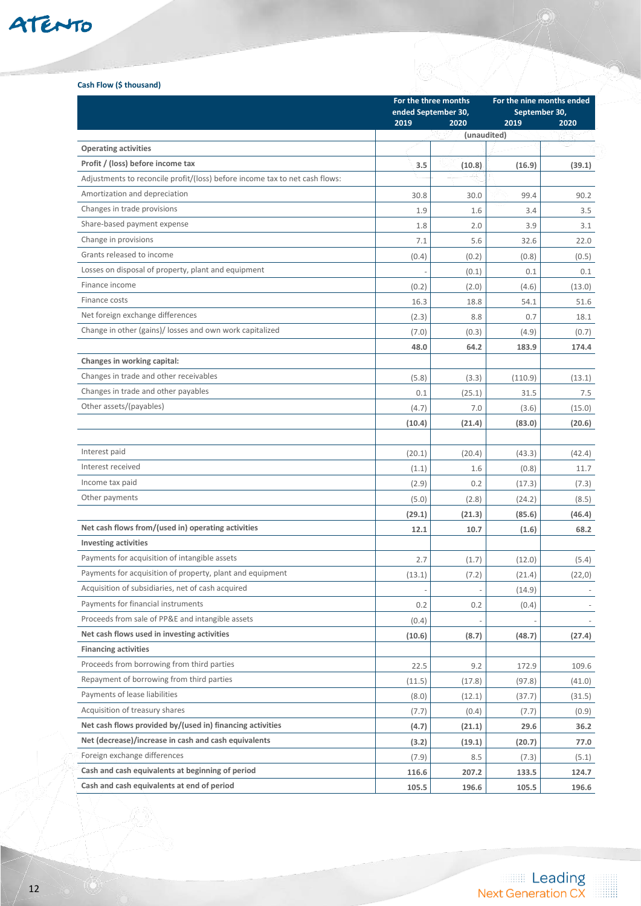

## **Cash Flow (\$ thousand)**

|                                                                             | For the three months<br>ended September 30, |                     | For the nine months ended<br>September 30, |        |  |
|-----------------------------------------------------------------------------|---------------------------------------------|---------------------|--------------------------------------------|--------|--|
|                                                                             | 2019                                        | 2020<br>(unaudited) | 2019                                       | 2020   |  |
| <b>Operating activities</b>                                                 |                                             |                     |                                            |        |  |
| Profit / (loss) before income tax                                           | 3.5                                         | (10.8)              | (16.9)                                     | (39.1) |  |
| Adjustments to reconcile profit/(loss) before income tax to net cash flows: |                                             |                     |                                            |        |  |
| Amortization and depreciation                                               | 30.8                                        | 30.0                | 99.4                                       | 90.2   |  |
| Changes in trade provisions                                                 | 1.9                                         | 1.6                 | 3.4                                        | 3.5    |  |
| Share-based payment expense                                                 | 1.8                                         | 2.0                 | 3.9                                        | 3.1    |  |
| Change in provisions                                                        | 7.1                                         | 5.6                 | 32.6                                       | 22.0   |  |
| Grants released to income                                                   | (0.4)                                       | (0.2)               | (0.8)                                      | (0.5)  |  |
| Losses on disposal of property, plant and equipment                         |                                             | (0.1)               | 0.1                                        | 0.1    |  |
| Finance income                                                              | (0.2)                                       | (2.0)               | (4.6)                                      | (13.0) |  |
| Finance costs                                                               | 16.3                                        | 18.8                | 54.1                                       | 51.6   |  |
| Net foreign exchange differences                                            | (2.3)                                       | 8.8                 | 0.7                                        | 18.1   |  |
| Change in other (gains)/losses and own work capitalized                     | (7.0)                                       | (0.3)               | (4.9)                                      | (0.7)  |  |
|                                                                             | 48.0                                        | 64.2                | 183.9                                      | 174.4  |  |
| Changes in working capital:                                                 |                                             |                     |                                            |        |  |
| Changes in trade and other receivables                                      | (5.8)                                       | (3.3)               | (110.9)                                    | (13.1) |  |
| Changes in trade and other payables                                         | 0.1                                         | (25.1)              | 31.5                                       | 7.5    |  |
| Other assets/(payables)                                                     | (4.7)                                       | 7.0                 | (3.6)                                      | (15.0) |  |
|                                                                             | (10.4)                                      | (21.4)              | (83.0)                                     | (20.6) |  |
|                                                                             |                                             |                     |                                            |        |  |
| Interest paid                                                               | (20.1)                                      | (20.4)              | (43.3)                                     | (42.4) |  |
| Interest received                                                           | (1.1)                                       | 1.6                 | (0.8)                                      | 11.7   |  |
| Income tax paid                                                             | (2.9)                                       | 0.2                 | (17.3)                                     | (7.3)  |  |
| Other payments                                                              | (5.0)                                       | (2.8)               | (24.2)                                     | (8.5)  |  |
|                                                                             | (29.1)                                      | (21.3)              | (85.6)                                     | (46.4) |  |
| Net cash flows from/(used in) operating activities                          | 12.1                                        | 10.7                | (1.6)                                      | 68.2   |  |
| <b>Investing activities</b>                                                 |                                             |                     |                                            |        |  |
| Payments for acquisition of intangible assets                               | 2.7                                         | (1.7)               | (12.0)                                     | (5.4)  |  |
| Payments for acquisition of property, plant and equipment                   | (13.1)                                      | (7.2)               | (21.4)                                     | (22,0) |  |
| Acquisition of subsidiaries, net of cash acquired                           |                                             |                     | (14.9)                                     |        |  |
| Payments for financial instruments                                          | 0.2                                         | 0.2                 | (0.4)                                      |        |  |
| Proceeds from sale of PP&E and intangible assets                            | (0.4)                                       |                     |                                            |        |  |
| Net cash flows used in investing activities                                 | (10.6)                                      | (8.7)               | (48.7)                                     | (27.4) |  |
| <b>Financing activities</b>                                                 |                                             |                     |                                            |        |  |
| Proceeds from borrowing from third parties                                  | 22.5                                        | 9.2                 | 172.9                                      | 109.6  |  |
| Repayment of borrowing from third parties                                   | (11.5)                                      | (17.8)              | (97.8)                                     | (41.0) |  |
| Payments of lease liabilities                                               | (8.0)                                       | (12.1)              | (37.7)                                     | (31.5) |  |
| Acquisition of treasury shares                                              | (7.7)                                       | (0.4)               | (7.7)                                      | (0.9)  |  |
| Net cash flows provided by/(used in) financing activities                   | (4.7)                                       |                     | 29.6                                       | 36.2   |  |
| Net (decrease)/increase in cash and cash equivalents                        |                                             | (21.1)              |                                            |        |  |
| Foreign exchange differences                                                | (3.2)                                       | (19.1)              | (20.7)                                     | 77.0   |  |
| Cash and cash equivalents at beginning of period                            | (7.9)                                       | 8.5                 | (7.3)                                      | (5.1)  |  |
| Cash and cash equivalents at end of period                                  | 116.6                                       | 207.2               | 133.5                                      | 124.7  |  |
|                                                                             | 105.5                                       | 196.6               | 105.5                                      | 196.6  |  |

 $\circledR$ 

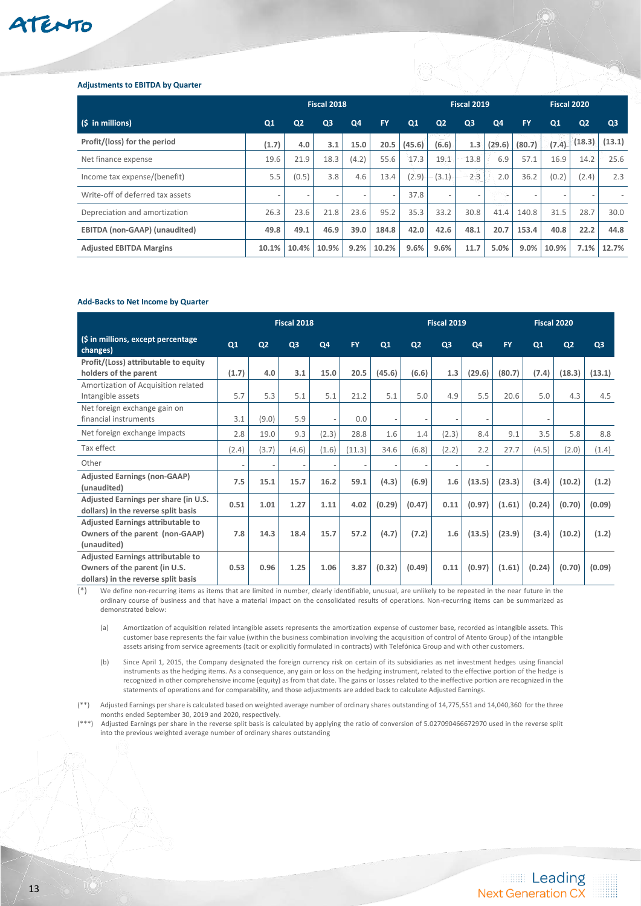#### **Adjustments to EBITDA by Quarter**

|                                  | <b>Fiscal 2018</b> |                          |                          |       |           |                |                          | <b>Fiscal 2019</b> |                | <b>Fiscal 2020</b> |                |                |                |
|----------------------------------|--------------------|--------------------------|--------------------------|-------|-----------|----------------|--------------------------|--------------------|----------------|--------------------|----------------|----------------|----------------|
| (\$ in millions)                 | Q <sub>1</sub>     | Q <sub>2</sub>           | Q <sub>3</sub>           | Q4    | <b>FY</b> | Q <sub>1</sub> | Q <sub>2</sub>           | Q <sub>3</sub>     | Q <sub>4</sub> | <b>FY</b>          | Q <sub>1</sub> | Q <sub>2</sub> | Q <sub>3</sub> |
| Profit/(loss) for the period     | (1.7)              | 4.0                      | 3.1                      | 15.0  | 20.5      | (45.6)         | (6.6)                    | 1.3                | (29.6)         | (80.7)             | (7.4)          | (18.3)         | (13.1)         |
| Net finance expense              | 19.6               | 21.9                     | 18.3                     | (4.2) | 55.6      | 17.3           | 19.1                     | 13.8               | 6.9            | 57.1               | 16.9           | 14.2           | 25.6           |
| Income tax expense/(benefit)     | 5.5                | (0.5)                    | 3.8                      | 4.6   | 13.4      | (2.9)          | (3.1)                    | 2.3                | 2.0            | 36.2               | (0.2)          | (2.4)          | 2.3            |
| Write-off of deferred tax assets |                    | $\overline{\phantom{a}}$ | $\overline{\phantom{m}}$ |       | ۰         | 37.8           | $\overline{\phantom{a}}$ |                    | ٠              | $\sim$             |                | <b>1999</b>    |                |
| Depreciation and amortization    | 26.3               | 23.6                     | 21.8                     | 23.6  | 95.2      | 35.3           | 33.2                     | 30.8               | 41.4           | 140.8              | 31.5           | 28.7           | 30.0           |
| EBITDA (non-GAAP) (unaudited)    | 49.8               | 49.1                     | 46.9                     | 39.0  | 184.8     | 42.0           | 42.6                     | 48.1               | 20.7           | 153.4              | 40.8           | 22.2           | 44.8           |
| <b>Adjusted EBITDA Margins</b>   | 10.1%              | 10.4%                    | 10.9%                    | 9.2%  | 10.2%     | 9.6%           | 9.6%                     | 11.7               | 5.0%           | $9.0\%$            | 10.9%          | 7.1%           | 12.7%          |

#### **Add-Backs to Net Income by Quarter**

|                                                                                                                  |       | <b>Fiscal 2018</b> |                |       |           |        | <b>Fiscal 2019</b> |                |                |           |        | <b>Fiscal 2020</b> |                |  |
|------------------------------------------------------------------------------------------------------------------|-------|--------------------|----------------|-------|-----------|--------|--------------------|----------------|----------------|-----------|--------|--------------------|----------------|--|
| (\$ in millions, except percentage<br>changes)                                                                   | Q1    | Q <sub>2</sub>     | Q <sub>3</sub> | Q4    | <b>FY</b> | Q1     | Q <sub>2</sub>     | Q <sub>3</sub> | Q <sub>4</sub> | <b>FY</b> | Q1     | Q <sub>2</sub>     | Q <sub>3</sub> |  |
| Profit/(Loss) attributable to equity<br>holders of the parent                                                    | (1.7) | 4.0                | 3.1            | 15.0  | 20.5      | (45.6) | (6.6)              | 1.3            | (29.6)         | (80.7)    | (7.4)  | (18.3)             | (13.1)         |  |
| Amortization of Acquisition related<br>Intangible assets                                                         | 5.7   | 5.3                | 5.1            | 5.1   | 21.2      | 5.1    | 5.0                | 4.9            | 5.5            | 20.6      | 5.0    | 4.3                | 4.5            |  |
| Net foreign exchange gain on<br>financial instruments                                                            | 3.1   | (9.0)              | 5.9            |       | 0.0       |        | $\qquad \qquad -$  |                |                |           |        |                    |                |  |
| Net foreign exchange impacts                                                                                     | 2.8   | 19.0               | 9.3            | (2.3) | 28.8      | 1.6    | 1.4                | (2.3)          | 8.4            | 9.1       | 3.5    | 5.8                | 8.8            |  |
| Tax effect                                                                                                       | (2.4) | (3.7)              | (4.6)          | (1.6) | (11.3)    | 34.6   | (6.8)              | (2.2)          | 2.2            | 27.7      | (4.5)  | (2.0)              | (1.4)          |  |
| Other                                                                                                            |       |                    |                |       |           |        |                    |                |                |           |        |                    |                |  |
| <b>Adjusted Earnings (non-GAAP)</b><br>(unaudited)                                                               | 7.5   | 15.1               | 15.7           | 16.2  | 59.1      | (4.3)  | (6.9)              | 1.6            | (13.5)         | (23.3)    | (3.4)  | (10.2)             | (1.2)          |  |
| Adjusted Earnings per share (in U.S.<br>dollars) in the reverse split basis                                      | 0.51  | 1.01               | 1.27           | 1.11  | 4.02      | (0.29) | (0.47)             | 0.11           | (0.97)         | (1.61)    | (0.24) | (0.70)             | (0.09)         |  |
| <b>Adjusted Earnings attributable to</b><br>Owners of the parent (non-GAAP)<br>(unaudited)                       | 7.8   | 14.3               | 18.4           | 15.7  | 57.2      | (4.7)  | (7.2)              | 1.6            | (13.5)         | (23.9)    | (3.4)  | (10.2)             | (1.2)          |  |
| <b>Adjusted Earnings attributable to</b><br>Owners of the parent (in U.S.<br>dollars) in the reverse split basis | 0.53  | 0.96               | 1.25           | 1.06  | 3.87      | (0.32) | (0.49)             | 0.11           | (0.97)         | (1.61)    | (0.24) | (0.70)             | (0.09)         |  |

(\*) We define non-recurring items as items that are limited in number, clearly identifiable, unusual, are unlikely to be repeated in the near future in the ordinary course of business and that have a material impact on the consolidated results of operations. Non-recurring items can be summarized as demonstrated below:

(a) Amortization of acquisition related intangible assets represents the amortization expense of customer base, recorded as intangible assets. This customer base represents the fair value (within the business combination involving the acquisition of control of Atento Group) of the intangible assets arising from service agreements (tacit or explicitly formulated in contracts) with Telefónica Group and with other customers.

(b) Since April 1, 2015, the Company designated the foreign currency risk on certain of its subsidiaries as net investment hedges using financial instruments as the hedging items. As a consequence, any gain or loss on the hedging instrument, related to the effective portion of the hedge is recognized in other comprehensive income (equity) as from that date. The gains or losses related to the ineffective portion are recognized in the statements of operations and for comparability, and those adjustments are added back to calculate Adjusted Earnings.

(\*\*) Adjusted Earnings per share is calculated based on weighted average number of ordinary shares outstanding of 14,775,551 and 14,040,360 for the three months ended September 30, 2019 and 2020, respectively.

(\*\*\*) Adjusted Earnings per share in the reverse split basis is calculated by applying the ratio of conversion of 5.027090466672970 used in the reverse split into the previous weighted average number of ordinary shares outstanding

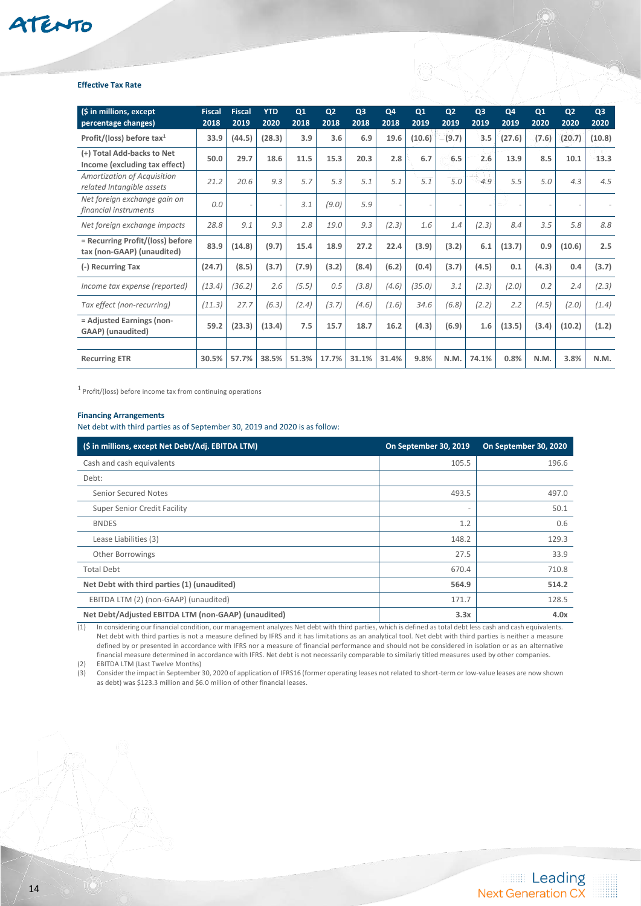#### **Effective Tax Rate**

| (\$ in millions, except<br>percentage changes)                 | <b>Fiscal</b><br>2018 | <b>Fiscal</b><br>2019 | <b>YTD</b><br>2020 | Q <sub>1</sub><br>2018 | Q <sub>2</sub><br>2018 | Q <sub>3</sub><br>2018 | Q4<br>2018 | Q1<br>2019 | Q <sub>2</sub><br>2019 | Q <sub>3</sub><br>2019 | Q4<br>2019 | Q <sub>1</sub><br>2020 | Q <sub>2</sub><br>2020 | Q <sub>3</sub><br>2020 |
|----------------------------------------------------------------|-----------------------|-----------------------|--------------------|------------------------|------------------------|------------------------|------------|------------|------------------------|------------------------|------------|------------------------|------------------------|------------------------|
| Profit/(loss) before tax <sup>1</sup>                          | 33.9                  | (44.5)                | (28.3)             | 3.9                    | 3.6                    | 6.9                    | 19.6       | (10.6)     | (9.7)                  | 3.5                    | (27.6)     | (7.6)                  | (20.7)                 | (10.8)                 |
| (+) Total Add-backs to Net<br>Income (excluding tax effect)    | 50.0                  | 29.7                  | 18.6               | 11.5                   | 15.3                   | 20.3                   | 2.8        | 6.7        | 6.5                    | 2.6                    | 13.9       | 8.5                    | 10.1                   | 13.3                   |
| Amortization of Acquisition<br>related Intangible assets       | 21.2                  | 20.6                  | 9.3                | 5.7                    | 5.3                    | 5.1                    | 5.1        | 5.1        | 5.0                    | 4.9                    | 5.5        | 5.0                    | 4.3                    | 4.5                    |
| Net foreign exchange gain on<br>financial instruments          | 0.0                   |                       |                    | 3.1                    | (9.0)                  | 5.9                    |            |            |                        |                        |            |                        |                        |                        |
| Net foreign exchange impacts                                   | 28.8                  | 9.1                   | 9.3                | 2.8                    | 19.0                   | 9.3                    | (2.3)      | 1.6        | 1.4                    | (2.3)                  | 8.4        | 3.5                    | 5.8                    | 8.8                    |
| = Recurring Profit/(loss) before<br>tax (non-GAAP) (unaudited) | 83.9                  | (14.8)                | (9.7)              | 15.4                   | 18.9                   | 27.2                   | 22.4       | (3.9)      | (3.2)                  | 6.1                    | (13.7)     | 0.9                    | (10.6)                 | 2.5                    |
| (-) Recurring Tax                                              | (24.7)                | (8.5)                 | (3.7)              | (7.9)                  | (3.2)                  | (8.4)                  | (6.2)      | (0.4)      | (3.7)                  | (4.5)                  | 0.1        | (4.3)                  | 0.4                    | (3.7)                  |
| Income tax expense (reported)                                  | (13.4)                | (36.2)                | 2.6                | (5.5)                  | 0.5                    | (3.8)                  | (4.6)      | (35.0)     | 3.1                    | (2.3)                  | (2.0)      | 0.2                    | 2.4                    | (2.3)                  |
| Tax effect (non-recurring)                                     | (11.3)                | 27.7                  | (6.3)              | (2.4)                  | (3.7)                  | (4.6)                  | (1.6)      | 34.6       | (6.8)                  | (2.2)                  | 2.2        | (4.5)                  | (2.0)                  | (1.4)                  |
| = Adjusted Earnings (non-<br>GAAP) (unaudited)                 | 59.2                  | (23.3)                | (13.4)             | 7.5                    | 15.7                   | 18.7                   | 16.2       | (4.3)      | (6.9)                  | 1.6                    | (13.5)     | (3.4)                  | (10.2)                 | (1.2)                  |
| <b>Recurring ETR</b>                                           | 30.5%                 | 57.7%                 | 38.5%              | 51.3%                  | 17.7%                  | 31.1%                  | 31.4%      | 9.8%       | N.M.                   | 74.1%                  | 0.8%       | N.M.                   | 3.8%                   | N.M.                   |

 $1$  Profit/(loss) before income tax from continuing operations

#### **Financing Arrangements**

Net debt with third parties as of September 30, 2019 and 2020 is as follow:

| (\$ in millions, except Net Debt/Adj. EBITDA LTM)   | On September 30, 2019 | On September 30, 2020 |
|-----------------------------------------------------|-----------------------|-----------------------|
| Cash and cash equivalents                           | 105.5                 | 196.6                 |
| Debt:                                               |                       |                       |
| <b>Senior Secured Notes</b>                         | 493.5                 | 497.0                 |
| <b>Super Senior Credit Facility</b>                 |                       | 50.1                  |
| <b>BNDES</b>                                        | 1.2                   | 0.6                   |
| Lease Liabilities (3)                               | 148.2                 | 129.3                 |
| <b>Other Borrowings</b>                             | 27.5                  | 33.9                  |
| <b>Total Debt</b>                                   | 670.4                 | 710.8                 |
| Net Debt with third parties (1) (unaudited)         | 564.9                 | 514.2                 |
| EBITDA LTM (2) (non-GAAP) (unaudited)               | 171.7                 | 128.5                 |
| Net Debt/Adjusted EBITDA LTM (non-GAAP) (unaudited) | 3.3x                  | 4.0x                  |

(1) In considering our financial condition, our management analyzes Net debt with third parties, which is defined as total debt less cash and cash equivalents. Net debt with third parties is not a measure defined by IFRS and it has limitations as an analytical tool. Net debt with third parties is neither a measure defined by or presented in accordance with IFRS nor a measure of financial performance and should not be considered in isolation or as an alternative financial measure determined in accordance with IFRS. Net debt is not necessarily comparable to similarly titled measures used by other companies.

(2) EBITDA LTM (Last Twelve Months)

(3) Consider the impact in September 30, 2020 of application of IFRS16 (former operating leases not related to short-term or low-value leases are now shown as debt) was \$123.3 million and \$6.0 million of other financial leases.